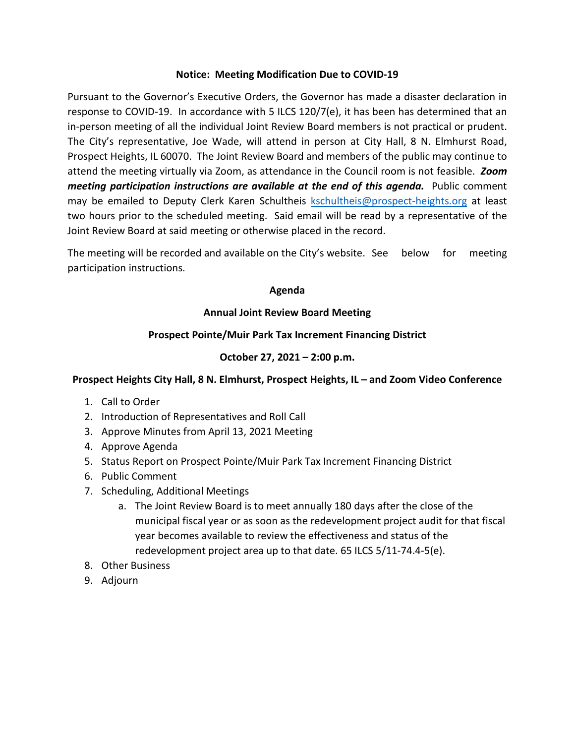#### **Notice: Meeting Modification Due to COVID-19**

Pursuant to the Governor's Executive Orders, the Governor has made a disaster declaration in response to COVID-19. In accordance with 5 ILCS 120/7(e), it has been has determined that an in-person meeting of all the individual Joint Review Board members is not practical or prudent. The City's representative, Joe Wade, will attend in person at City Hall, 8 N. Elmhurst Road, Prospect Heights, IL 60070. The Joint Review Board and members of the public may continue to attend the meeting virtually via Zoom, as attendance in the Council room is not feasible. *Zoom meeting participation instructions are available at the end of this agenda.* Public comment may be emailed to Deputy Clerk Karen Schultheis [kschultheis@prospect-heights.org](mailto:kschultheis@prospect-heights.org) at least two hours prior to the scheduled meeting. Said email will be read by a representative of the Joint Review Board at said meeting or otherwise placed in the record.

The meeting will be recorded and available on the City's website. See below for meeting participation instructions.

### **Agenda**

# **Annual Joint Review Board Meeting**

# **Prospect Pointe/Muir Park Tax Increment Financing District**

# **October 27, 2021 – 2:00 p.m.**

# **Prospect Heights City Hall, 8 N. Elmhurst, Prospect Heights, IL – and Zoom Video Conference**

- 1. Call to Order
- 2. Introduction of Representatives and Roll Call
- 3. Approve Minutes from April 13, 2021 Meeting
- 4. Approve Agenda
- 5. Status Report on Prospect Pointe/Muir Park Tax Increment Financing District
- 6. Public Comment
- 7. Scheduling, Additional Meetings
	- a. The Joint Review Board is to meet annually 180 days after the close of the municipal fiscal year or as soon as the redevelopment project audit for that fiscal year becomes available to review the effectiveness and status of the redevelopment project area up to that date. 65 ILCS 5/11-74.4-5(e).
- 8. Other Business
- 9. Adjourn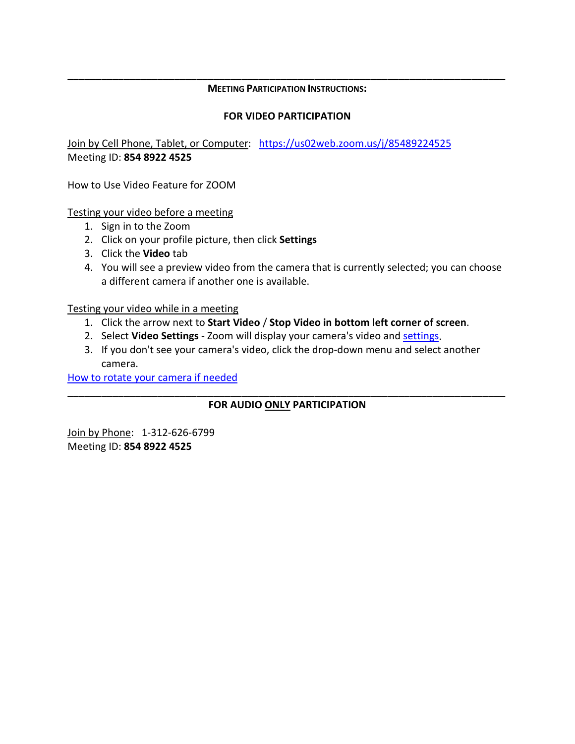#### **\_\_\_\_\_\_\_\_\_\_\_\_\_\_\_\_\_\_\_\_\_\_\_\_\_\_\_\_\_\_\_\_\_\_\_\_\_\_\_\_\_\_\_\_\_\_\_\_\_\_\_\_\_\_\_\_\_\_\_\_\_\_\_\_\_\_\_\_\_\_\_\_\_\_\_\_\_\_ MEETING PARTICIPATION INSTRUCTIONS:**

#### **FOR VIDEO PARTICIPATION**

Join by Cell Phone, Tablet, or Computer: <https://us02web.zoom.us/j/85489224525> Meeting ID: **854 8922 4525**

How to Use Video Feature for ZOOM

Testing your video before a meeting

- 1. Sign in to the Zoom
- 2. Click on your profile picture, then click **Settings**
- 3. Click the **Video** tab
- 4. You will see a preview video from the camera that is currently selected; you can choose a different camera if another one is available.

Testing your video while in a meeting

- 1. Click the arrow next to **Start Video** / **Stop Video in bottom left corner of screen**.
- 2. Select **Video Settings** Zoom will display your camera's video and [settings.](https://support.zoom.us/hc/en-us/articles/201362623-Changing-Settings-in-the-Desktop-Client-or-Mobile-App)
- 3. If you don't see your camera's video, click the drop-down menu and select another camera.

[How to rotate your camera if needed](https://support.zoom.us/hc/en-us/articles/115005859366)

### \_\_\_\_\_\_\_\_\_\_\_\_\_\_\_\_\_\_\_\_\_\_\_\_\_\_\_\_\_\_\_\_\_\_\_\_\_\_\_\_\_\_\_\_\_\_\_\_\_\_\_\_\_\_\_\_\_\_\_\_\_\_\_\_\_\_\_\_\_\_\_\_\_\_\_\_\_\_ **FOR AUDIO ONLY PARTICIPATION**

Join by Phone: 1-312-626-6799 Meeting ID: **854 8922 4525**